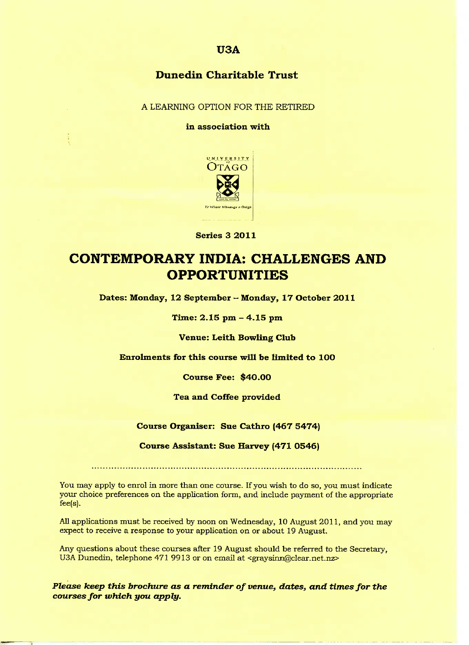### **U3A**

## **Dunedin Charitable Trust**

A LEARNING OPTION FOR THE RETIRED

#### in association with



**Series 3 2011**

# **CONTEMPORARY INDIA: CHALLENGES AND OPPORTUNITIES**

**Dates: Monday, 12 September - Monday, 17 October 2011**

**Time: 2.15 pm - 4.15 pm**

**Venue: Leith Bowling Club**

**Enrolments for this course will be limited to 1OO**

**Course Fee: \$40.00**

**Tea and Coffee provided**

**Course Organiser: Sue Cathro (467 5474)**

**Course Assistant: Sue Harvey (471 0546)**

You may apply to enrol in more than one course. If you wish to do so, you must indicate your choice preferences on the application form, and include payment of the appropriate fee(s).

All applications must be received by noon on Wednesday, 10 August 2011, and you may expect to receive a response to your application on or about 19 August.

Any questions about these courses after 19 August should be referred to the Secretary, U3A Dunedin, telephone 471 9913 or on email at <graysinn@clear.net.nz>

*Please keep this brochure as a reminder of venue, dates, and times for the courses for which you apply.*